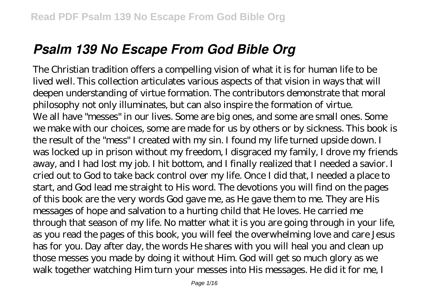# *Psalm 139 No Escape From God Bible Org*

The Christian tradition offers a compelling vision of what it is for human life to be lived well. This collection articulates various aspects of that vision in ways that will deepen understanding of virtue formation. The contributors demonstrate that moral philosophy not only illuminates, but can also inspire the formation of virtue. We all have "messes" in our lives. Some are big ones, and some are small ones. Some we make with our choices, some are made for us by others or by sickness. This book is the result of the "mess" I created with my sin. I found my life turned upside down. I was locked up in prison without my freedom, I disgraced my family, I drove my friends away, and I had lost my job. I hit bottom, and I finally realized that I needed a savior. I cried out to God to take back control over my life. Once I did that, I needed a place to start, and God lead me straight to His word. The devotions you will find on the pages of this book are the very words God gave me, as He gave them to me. They are His messages of hope and salvation to a hurting child that He loves. He carried me through that season of my life. No matter what it is you are going through in your life, as you read the pages of this book, you will feel the overwhelming love and care Jesus has for you. Day after day, the words He shares with you will heal you and clean up those messes you made by doing it without Him. God will get so much glory as we walk together watching Him turn your messes into His messages. He did it for me, I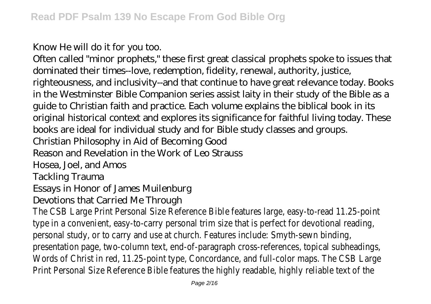Know He will do it for you too.

Often called "minor prophets," these first great classical prophets spoke to issues that dominated their times--love, redemption, fidelity, renewal, authority, justice, righteousness, and inclusivity--and that continue to have great relevance today. Books in the Westminster Bible Companion series assist laity in their study of the Bible as a guide to Christian faith and practice. Each volume explains the biblical book in its original historical context and explores its significance for faithful living today. These books are ideal for individual study and for Bible study classes and groups. Christian Philosophy in Aid of Becoming Good Reason and Revelation in the Work of Leo Strauss Hosea, Joel, and Amos Tackling Trauma

Essays in Honor of James Muilenburg

Devotions that Carried Me Through

The CSB Large Print Personal Size Reference Bible features large, easy-to-read 11.25-point type in a convenient, easy-to-carry personal trim size that is perfect for devotional reading, personal study, or to carry and use at church. Features include: Smyth-sewn binding, presentation page, two-column text, end-of-paragraph cross-references, topical subheadings, Words of Christ in red, 11.25-point type, Concordance, and full-color maps. The CSB Large Print Personal Size Reference Bible features the highly readable, highly reliable text of the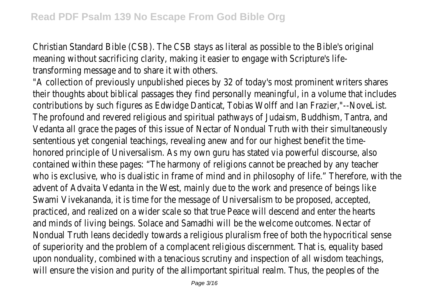Christian Standard Bible (CSB). The CSB stays as literal as possible to the Bible's original meaning without sacrificing clarity, making it easier to engage with Scripture's lifetransforming message and to share it with others.

"A collection of previously unpublished pieces by 32 of today's most prominent writers shares their thoughts about biblical passages they find personally meaningful, in a volume that includes contributions by such figures as Edwidge Danticat, Tobias Wolff and Ian Frazier,"--NoveList. The profound and revered religious and spiritual pathways of Judaism, Buddhism, Tantra, and Vedanta all grace the pages of this issue of Nectar of Nondual Truth with their simultaneously sententious yet congenial teachings, revealing anew and for our highest benefit the timehonored principle of Universalism. As my own guru has stated via powerful discourse, also contained within these pages: "The harmony of religions cannot be preached by any teacher who is exclusive, who is dualistic in frame of mind and in philosophy of life." Therefore, with the advent of Advaita Vedanta in the West, mainly due to the work and presence of beings like Swami Vivekananda, it is time for the message of Universalism to be proposed, accepted, practiced, and realized on a wider scale so that true Peace will descend and enter the hearts and minds of living beings. Solace and Samadhi will be the welcome outcomes. Nectar of Nondual Truth leans decidedly towards a religious pluralism free of both the hypocritical sense of superiority and the problem of a complacent religious discernment. That is, equality based upon nonduality, combined with a tenacious scrutiny and inspection of all wisdom teachings, will ensure the vision and purity of the allimportant spiritual realm. Thus, the peoples of the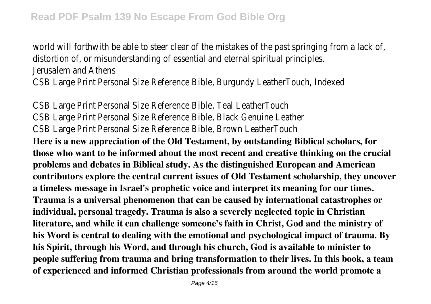world will forthwith be able to steer clear of the mistakes of the past springing from a lack of, distortion of, or misunderstanding of essential and eternal spiritual principles. Jerusalem and Athens CSB Large Print Personal Size Reference Bible, Burgundy LeatherTouch, Indexed

CSB Large Print Personal Size Reference Bible, Teal LeatherTouch CSB Large Print Personal Size Reference Bible, Black Genuine Leather CSB Large Print Personal Size Reference Bible, Brown LeatherTouch

**Here is a new appreciation of the Old Testament, by outstanding Biblical scholars, for those who want to be informed about the most recent and creative thinking on the crucial problems and debates in Biblical study. As the distinguished European and American contributors explore the central current issues of Old Testament scholarship, they uncover a timeless message in Israel's prophetic voice and interpret its meaning for our times. Trauma is a universal phenomenon that can be caused by international catastrophes or individual, personal tragedy. Trauma is also a severely neglected topic in Christian literature, and while it can challenge someone's faith in Christ, God and the ministry of his Word is central to dealing with the emotional and psychological impact of trauma. By his Spirit, through his Word, and through his church, God is available to minister to people suffering from trauma and bring transformation to their lives. In this book, a team of experienced and informed Christian professionals from around the world promote a**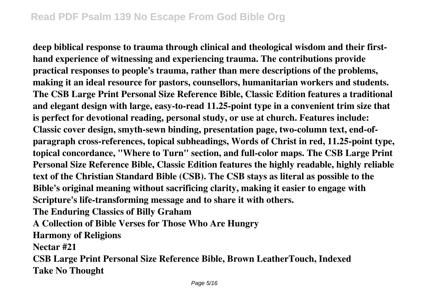**deep biblical response to trauma through clinical and theological wisdom and their firsthand experience of witnessing and experiencing trauma. The contributions provide practical responses to people's trauma, rather than mere descriptions of the problems, making it an ideal resource for pastors, counsellors, humanitarian workers and students. The CSB Large Print Personal Size Reference Bible, Classic Edition features a traditional and elegant design with large, easy-to-read 11.25-point type in a convenient trim size that is perfect for devotional reading, personal study, or use at church. Features include: Classic cover design, smyth-sewn binding, presentation page, two-column text, end-ofparagraph cross-references, topical subheadings, Words of Christ in red, 11.25-point type, topical concordance, "Where to Turn" section, and full-color maps. The CSB Large Print Personal Size Reference Bible, Classic Edition features the highly readable, highly reliable text of the Christian Standard Bible (CSB). The CSB stays as literal as possible to the Bible's original meaning without sacrificing clarity, making it easier to engage with Scripture's life-transforming message and to share it with others. The Enduring Classics of Billy Graham**

**A Collection of Bible Verses for Those Who Are Hungry**

**Harmony of Religions**

**Nectar #21**

**CSB Large Print Personal Size Reference Bible, Brown LeatherTouch, Indexed Take No Thought**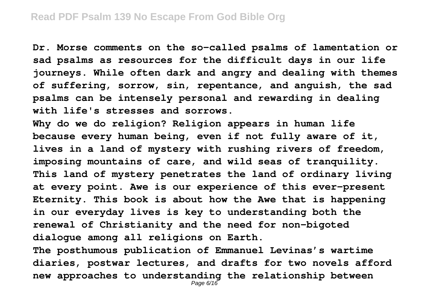**Dr. Morse comments on the so-called psalms of lamentation or sad psalms as resources for the difficult days in our life journeys. While often dark and angry and dealing with themes of suffering, sorrow, sin, repentance, and anguish, the sad psalms can be intensely personal and rewarding in dealing with life's stresses and sorrows.**

**Why do we do religion? Religion appears in human life because every human being, even if not fully aware of it, lives in a land of mystery with rushing rivers of freedom, imposing mountains of care, and wild seas of tranquility. This land of mystery penetrates the land of ordinary living at every point. Awe is our experience of this ever-present Eternity. This book is about how the Awe that is happening in our everyday lives is key to understanding both the renewal of Christianity and the need for non-bigoted dialogue among all religions on Earth.**

**The posthumous publication of Emmanuel Levinas's wartime diaries, postwar lectures, and drafts for two novels afford new approaches to understanding the relationship between** Page 6/16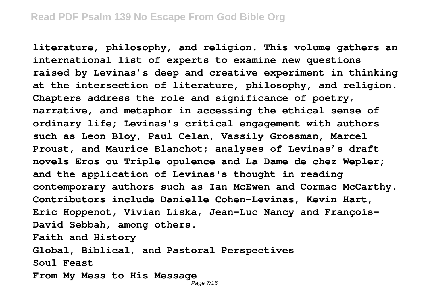**literature, philosophy, and religion. This volume gathers an international list of experts to examine new questions raised by Levinas's deep and creative experiment in thinking at the intersection of literature, philosophy, and religion. Chapters address the role and significance of poetry, narrative, and metaphor in accessing the ethical sense of ordinary life; Levinas's critical engagement with authors such as Leon Bloy, Paul Celan, Vassily Grossman, Marcel Proust, and Maurice Blanchot; analyses of Levinas's draft novels Eros ou Triple opulence and La Dame de chez Wepler; and the application of Levinas's thought in reading contemporary authors such as Ian McEwen and Cormac McCarthy. Contributors include Danielle Cohen-Levinas, Kevin Hart, Eric Hoppenot, Vivian Liska, Jean-Luc Nancy and François-David Sebbah, among others. Faith and History Global, Biblical, and Pastoral Perspectives Soul Feast From My Mess to His Message**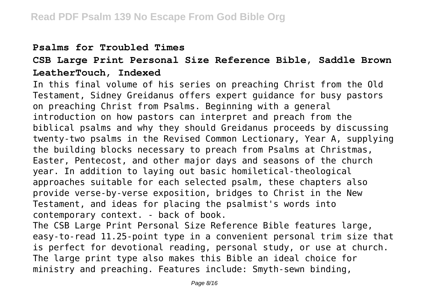#### **Psalms for Troubled Times**

## **CSB Large Print Personal Size Reference Bible, Saddle Brown LeatherTouch, Indexed**

In this final volume of his series on preaching Christ from the Old Testament, Sidney Greidanus offers expert guidance for busy pastors on preaching Christ from Psalms. Beginning with a general introduction on how pastors can interpret and preach from the biblical psalms and why they should Greidanus proceeds by discussing twenty-two psalms in the Revised Common Lectionary, Year A, supplying the building blocks necessary to preach from Psalms at Christmas, Easter, Pentecost, and other major days and seasons of the church year. In addition to laying out basic homiletical-theological approaches suitable for each selected psalm, these chapters also provide verse-by-verse exposition, bridges to Christ in the New Testament, and ideas for placing the psalmist's words into contemporary context. - back of book.

The CSB Large Print Personal Size Reference Bible features large, easy-to-read 11.25-point type in a convenient personal trim size that is perfect for devotional reading, personal study, or use at church. The large print type also makes this Bible an ideal choice for ministry and preaching. Features include: Smyth-sewn binding,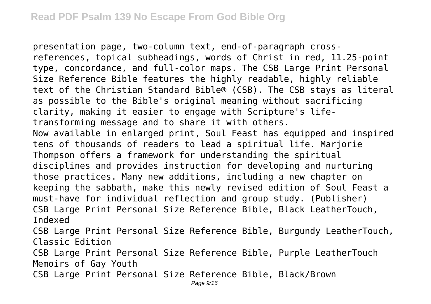presentation page, two-column text, end-of-paragraph crossreferences, topical subheadings, words of Christ in red, 11.25-point type, concordance, and full-color maps. The CSB Large Print Personal Size Reference Bible features the highly readable, highly reliable text of the Christian Standard Bible® (CSB). The CSB stays as literal as possible to the Bible's original meaning without sacrificing clarity, making it easier to engage with Scripture's lifetransforming message and to share it with others. Now available in enlarged print, Soul Feast has equipped and inspired tens of thousands of readers to lead a spiritual life. Marjorie Thompson offers a framework for understanding the spiritual disciplines and provides instruction for developing and nurturing those practices. Many new additions, including a new chapter on keeping the sabbath, make this newly revised edition of Soul Feast a must-have for individual reflection and group study. (Publisher) CSB Large Print Personal Size Reference Bible, Black LeatherTouch, Indexed CSB Large Print Personal Size Reference Bible, Burgundy LeatherTouch, Classic Edition CSB Large Print Personal Size Reference Bible, Purple LeatherTouch Memoirs of Gay Youth CSB Large Print Personal Size Reference Bible, Black/Brown Page 9/16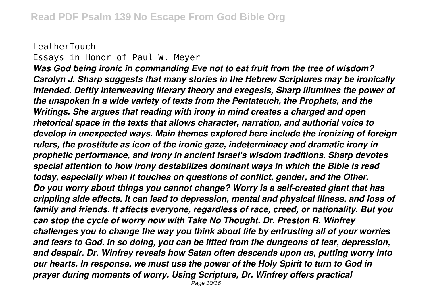#### LeatherTouch Essays in Honor of Paul W. Meyer

*Was God being ironic in commanding Eve not to eat fruit from the tree of wisdom? Carolyn J. Sharp suggests that many stories in the Hebrew Scriptures may be ironically intended. Deftly interweaving literary theory and exegesis, Sharp illumines the power of the unspoken in a wide variety of texts from the Pentateuch, the Prophets, and the Writings. She argues that reading with irony in mind creates a charged and open rhetorical space in the texts that allows character, narration, and authorial voice to develop in unexpected ways. Main themes explored here include the ironizing of foreign rulers, the prostitute as icon of the ironic gaze, indeterminacy and dramatic irony in prophetic performance, and irony in ancient Israel's wisdom traditions. Sharp devotes special attention to how irony destabilizes dominant ways in which the Bible is read today, especially when it touches on questions of conflict, gender, and the Other. Do you worry about things you cannot change? Worry is a self-created giant that has crippling side effects. It can lead to depression, mental and physical illness, and loss of family and friends. It affects everyone, regardless of race, creed, or nationality. But you can stop the cycle of worry now with Take No Thought. Dr. Preston R. Winfrey challenges you to change the way you think about life by entrusting all of your worries and fears to God. In so doing, you can be lifted from the dungeons of fear, depression, and despair. Dr. Winfrey reveals how Satan often descends upon us, putting worry into our hearts. In response, we must use the power of the Holy Spirit to turn to God in prayer during moments of worry. Using Scripture, Dr. Winfrey offers practical* Page 10/16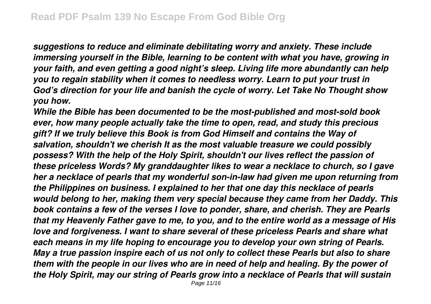*suggestions to reduce and eliminate debilitating worry and anxiety. These include immersing yourself in the Bible, learning to be content with what you have, growing in your faith, and even getting a good night's sleep. Living life more abundantly can help you to regain stability when it comes to needless worry. Learn to put your trust in God's direction for your life and banish the cycle of worry. Let Take No Thought show you how.*

*While the Bible has been documented to be the most-published and most-sold book ever, how many people actually take the time to open, read, and study this precious gift? If we truly believe this Book is from God Himself and contains the Way of salvation, shouldn't we cherish It as the most valuable treasure we could possibly possess? With the help of the Holy Spirit, shouldn't our lives reflect the passion of these priceless Words? My granddaughter likes to wear a necklace to church, so I gave her a necklace of pearls that my wonderful son-in-law had given me upon returning from the Philippines on business. I explained to her that one day this necklace of pearls would belong to her, making them very special because they came from her Daddy. This book contains a few of the verses I love to ponder, share, and cherish. They are Pearls that my Heavenly Father gave to me, to you, and to the entire world as a message of His love and forgiveness. I want to share several of these priceless Pearls and share what each means in my life hoping to encourage you to develop your own string of Pearls. May a true passion inspire each of us not only to collect these Pearls but also to share them with the people in our lives who are in need of help and healing. By the power of the Holy Spirit, may our string of Pearls grow into a necklace of Pearls that will sustain* Page 11/16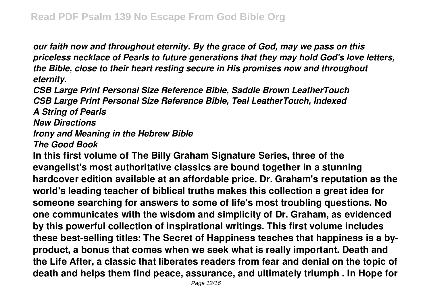*our faith now and throughout eternity. By the grace of God, may we pass on this priceless necklace of Pearls to future generations that they may hold God's love letters, the Bible, close to their heart resting secure in His promises now and throughout eternity.*

*CSB Large Print Personal Size Reference Bible, Saddle Brown LeatherTouch CSB Large Print Personal Size Reference Bible, Teal LeatherTouch, Indexed A String of Pearls New Directions Irony and Meaning in the Hebrew Bible*

*The Good Book*

**In this first volume of The Billy Graham Signature Series, three of the evangelist's most authoritative classics are bound together in a stunning hardcover edition available at an affordable price. Dr. Graham's reputation as the world's leading teacher of biblical truths makes this collection a great idea for someone searching for answers to some of life's most troubling questions. No one communicates with the wisdom and simplicity of Dr. Graham, as evidenced by this powerful collection of inspirational writings. This first volume includes these best-selling titles: The Secret of Happiness teaches that happiness is a byproduct, a bonus that comes when we seek what is really important. Death and the Life After, a classic that liberates readers from fear and denial on the topic of death and helps them find peace, assurance, and ultimately triumph . In Hope for**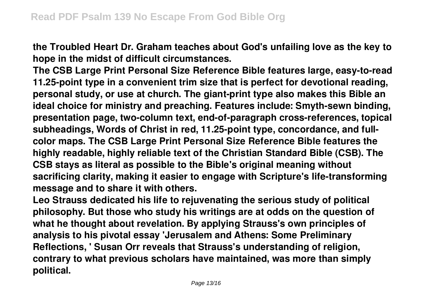**the Troubled Heart Dr. Graham teaches about God's unfailing love as the key to hope in the midst of difficult circumstances.**

**The CSB Large Print Personal Size Reference Bible features large, easy-to-read 11.25-point type in a convenient trim size that is perfect for devotional reading, personal study, or use at church. The giant-print type also makes this Bible an ideal choice for ministry and preaching. Features include: Smyth-sewn binding, presentation page, two-column text, end-of-paragraph cross-references, topical subheadings, Words of Christ in red, 11.25-point type, concordance, and fullcolor maps. The CSB Large Print Personal Size Reference Bible features the highly readable, highly reliable text of the Christian Standard Bible (CSB). The CSB stays as literal as possible to the Bible's original meaning without sacrificing clarity, making it easier to engage with Scripture's life-transforming message and to share it with others.**

**Leo Strauss dedicated his life to rejuvenating the serious study of political philosophy. But those who study his writings are at odds on the question of what he thought about revelation. By applying Strauss's own principles of analysis to his pivotal essay 'Jerusalem and Athens: Some Preliminary Reflections, ' Susan Orr reveals that Strauss's understanding of religion, contrary to what previous scholars have maintained, was more than simply political.**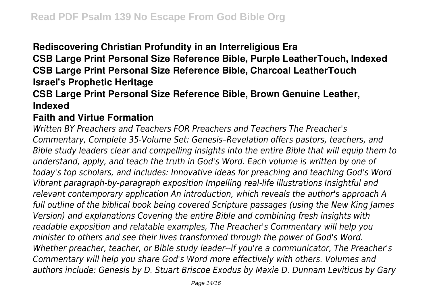**Rediscovering Christian Profundity in an Interreligious Era**

**CSB Large Print Personal Size Reference Bible, Purple LeatherTouch, Indexed CSB Large Print Personal Size Reference Bible, Charcoal LeatherTouch Israel's Prophetic Heritage**

## **CSB Large Print Personal Size Reference Bible, Brown Genuine Leather, Indexed**

### **Faith and Virtue Formation**

*Written BY Preachers and Teachers FOR Preachers and Teachers The Preacher's Commentary, Complete 35-Volume Set: Genesis–Revelation offers pastors, teachers, and Bible study leaders clear and compelling insights into the entire Bible that will equip them to understand, apply, and teach the truth in God's Word. Each volume is written by one of today's top scholars, and includes: Innovative ideas for preaching and teaching God's Word Vibrant paragraph-by-paragraph exposition Impelling real-life illustrations Insightful and relevant contemporary application An introduction, which reveals the author's approach A full outline of the biblical book being covered Scripture passages (using the New King James Version) and explanations Covering the entire Bible and combining fresh insights with readable exposition and relatable examples, The Preacher's Commentary will help you minister to others and see their lives transformed through the power of God's Word. Whether preacher, teacher, or Bible study leader--if you're a communicator, The Preacher's Commentary will help you share God's Word more effectively with others. Volumes and authors include: Genesis by D. Stuart Briscoe Exodus by Maxie D. Dunnam Leviticus by Gary*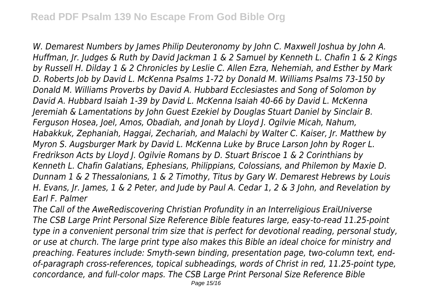*W. Demarest Numbers by James Philip Deuteronomy by John C. Maxwell Joshua by John A. Huffman, Jr. Judges & Ruth by David Jackman 1 & 2 Samuel by Kenneth L. Chafin 1 & 2 Kings by Russell H. Dilday 1 & 2 Chronicles by Leslie C. Allen Ezra, Nehemiah, and Esther by Mark D. Roberts Job by David L. McKenna Psalms 1-72 by Donald M. Williams Psalms 73-150 by Donald M. Williams Proverbs by David A. Hubbard Ecclesiastes and Song of Solomon by David A. Hubbard Isaiah 1-39 by David L. McKenna Isaiah 40-66 by David L. McKenna Jeremiah & Lamentations by John Guest Ezekiel by Douglas Stuart Daniel by Sinclair B. Ferguson Hosea, Joel, Amos, Obadiah, and Jonah by Lloyd J. Ogilvie Micah, Nahum, Habakkuk, Zephaniah, Haggai, Zechariah, and Malachi by Walter C. Kaiser, Jr. Matthew by Myron S. Augsburger Mark by David L. McKenna Luke by Bruce Larson John by Roger L. Fredrikson Acts by Lloyd J. Ogilvie Romans by D. Stuart Briscoe 1 & 2 Corinthians by Kenneth L. Chafin Galatians, Ephesians, Philippians, Colossians, and Philemon by Maxie D. Dunnam 1 & 2 Thessalonians, 1 & 2 Timothy, Titus by Gary W. Demarest Hebrews by Louis H. Evans, Jr. James, 1 & 2 Peter, and Jude by Paul A. Cedar 1, 2 & 3 John, and Revelation by Earl F. Palmer*

*The Call of the AweRediscovering Christian Profundity in an Interreligious EraiUniverse The CSB Large Print Personal Size Reference Bible features large, easy-to-read 11.25-point type in a convenient personal trim size that is perfect for devotional reading, personal study, or use at church. The large print type also makes this Bible an ideal choice for ministry and preaching. Features include: Smyth-sewn binding, presentation page, two-column text, endof-paragraph cross-references, topical subheadings, words of Christ in red, 11.25-point type, concordance, and full-color maps. The CSB Large Print Personal Size Reference Bible*